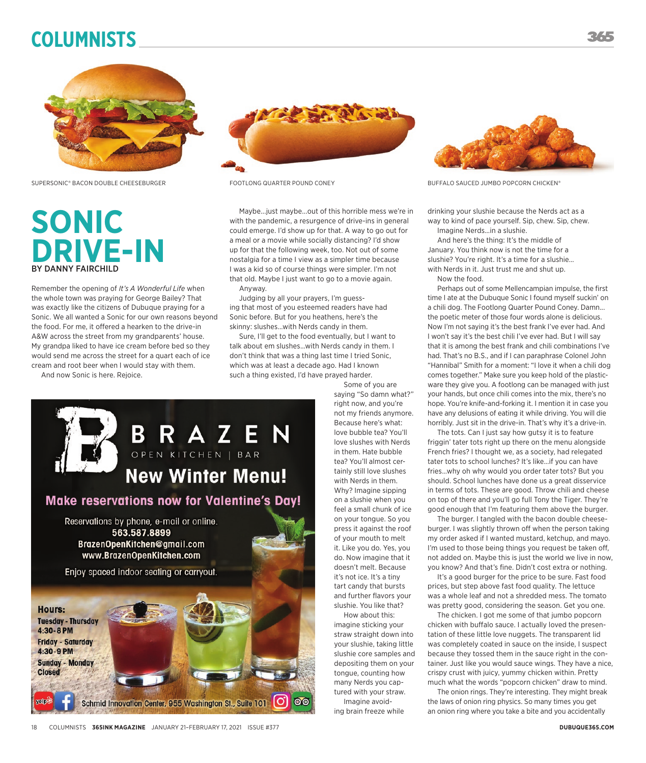### **Columnists**





SUPERSONIC® BACON DOUBLE CHEESEBURGER FOOTLONG QUARTER POUND CONEY FOUND CONEY BUFFALO SAUCED JUMBO POPCORN CHICKEN®

# **SONIC DRIVE-IN** BY DANNY FAIRCHILD

Remember the opening of *It's A Wonderful Life* when the whole town was praying for George Bailey? That was exactly like the citizens of Dubuque praying for a Sonic. We all wanted a Sonic for our own reasons beyond the food. For me, it offered a hearken to the drive-in A&W across the street from my grandparents' house. My grandpa liked to have ice cream before bed so they would send me across the street for a quart each of ice cream and root beer when I would stay with them.

**BRAZEN** 

**New Winter Menu!** 

OPEN KITCHEN | BAR

**Make reservations now for Valentine's Day!** 

Reservations by phone, e-mail or online. 563.587.8899 BrazenOpenKitchen@gmail.com www.BrazenOpenKitchen.com Enjoy spaced indoor seating or carryout.

And now Sonic is here. Rejoice.

**Hours:** 

**Closed** 

**Tuesday - Thursday** 4:30-8 PM **Friday - Saturday** 4:30-9 PM **Sunday - Monday** 



Maybe...just maybe...out of this horrible mess we're in with the pandemic, a resurgence of drive-ins in general could emerge. I'd show up for that. A way to go out for a meal or a movie while socially distancing? I'd show up for that the following week, too. Not out of some nostalgia for a time I view as a simpler time because I was a kid so of course things were simpler. I'm not that old. Maybe I just want to go to a movie again. Anyway.

Judging by all your prayers, I'm guessing that most of you esteemed readers have had Sonic before. But for you heathens, here's the skinny: slushes…with Nerds candy in them.

Sure, I'll get to the food eventually, but I want to talk about em slushes…with Nerds candy in them. I don't think that was a thing last time I tried Sonic, which was at least a decade ago. Had I known such a thing existed, I'd have prayed harder.

> Some of you are saying "So damn what?" right now, and you're not my friends anymore. Because here's what: love bubble tea? You'll love slushes with Nerds in them. Hate bubble tea? You'll almost certainly still love slushes with Nerds in them. Why? Imagine sipping on a slushie when you feel a small chunk of ice on your tongue. So you press it against the roof of your mouth to melt it. Like you do. Yes, you do. Now imagine that it doesn't melt. Because it's not ice. It's a tiny tart candy that bursts and further flavors your slushie. You like that?

> How about this: imagine sticking your straw straight down into your slushie, taking little slushie core samples and depositing them on your tongue, counting how many Nerds you captured with your straw. Imagine avoid-

ing brain freeze while



drinking your slushie because the Nerds act as a way to kind of pace yourself. Sip, chew. Sip, chew. Imagine Nerds…in a slushie.

And here's the thing: It's the middle of January. You think now is not the time for a slushie? You're right. It's a time for a slushie… with Nerds in it. Just trust me and shut up. Now the food.

Perhaps out of some Mellencampian impulse, the first time I ate at the Dubuque Sonic I found myself suckin' on a chili dog. The Footlong Quarter Pound Coney. Damn... the poetic meter of those four words alone is delicious. Now I'm not saying it's the best frank I've ever had. And I won't say it's the best chili I've ever had. But I will say that it is among the best frank and chili combinations I've had. That's no B.S., and if I can paraphrase Colonel John "Hannibal" Smith for a moment: "I love it when a chili dog comes together." Make sure you keep hold of the plasticware they give you. A footlong can be managed with just your hands, but once chili comes into the mix, there's no hope. You're knife-and-forking it. I mention it in case you have any delusions of eating it while driving. You will die horribly. Just sit in the drive-in. That's why it's a drive-in.

The tots. Can I just say how gutsy it is to feature friggin' tater tots right up there on the menu alongside French fries? I thought we, as a society, had relegated tater tots to school lunches? It's like…if you can have fries…why oh why would you order tater tots? But you should. School lunches have done us a great disservice in terms of tots. These are good. Throw chili and cheese on top of there and you'll go full Tony the Tiger. They're good enough that I'm featuring them above the burger.

The burger. I tangled with the bacon double cheeseburger. I was slightly thrown off when the person taking my order asked if I wanted mustard, ketchup, and mayo. I'm used to those being things you request be taken off, not added on. Maybe this is just the world we live in now, you know? And that's fine. Didn't cost extra or nothing.

It's a good burger for the price to be sure. Fast food prices, but step above fast food quality. The lettuce was a whole leaf and not a shredded mess. The tomato was pretty good, considering the season. Get you one.

The chicken. I got me some of that jumbo popcorn chicken with buffalo sauce. I actually loved the presentation of these little love nuggets. The transparent lid was completely coated in sauce on the inside, I suspect because they tossed them in the sauce right in the container. Just like you would sauce wings. They have a nice, crispy crust with juicy, yummy chicken within. Pretty much what the words "popcorn chicken" draw to mind.

The onion rings. They're interesting. They might break the laws of onion ring physics. So many times you get an onion ring where you take a bite and you accidentally

Schmid Innovation Center, 955 Washington St., Suite 101